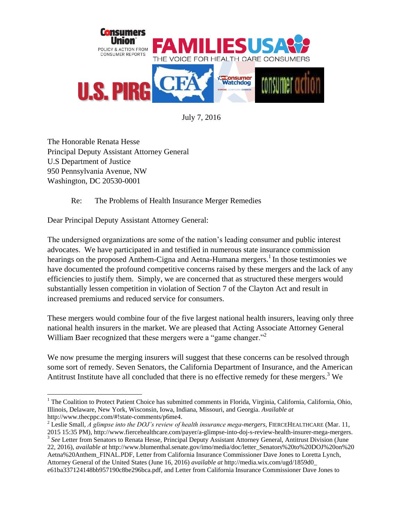

July 7, 2016

The Honorable Renata Hesse Principal Deputy Assistant Attorney General U.S Department of Justice 950 Pennsylvania Avenue, NW Washington, DC 20530-0001

# Re: The Problems of Health Insurance Merger Remedies

Dear Principal Deputy Assistant Attorney General:

 $\overline{\phantom{a}}$ 

The undersigned organizations are some of the nation's leading consumer and public interest advocates. We have participated in and testified in numerous state insurance commission hearings on the proposed Anthem-Cigna and Aetna-Humana mergers.<sup>1</sup> In those testimonies we have documented the profound competitive concerns raised by these mergers and the lack of any efficiencies to justify them. Simply, we are concerned that as structured these mergers would substantially lessen competition in violation of Section 7 of the Clayton Act and result in increased premiums and reduced service for consumers.

These mergers would combine four of the five largest national health insurers, leaving only three national health insurers in the market. We are pleased that Acting Associate Attorney General William Baer recognized that these mergers were a "game changer."

We now presume the merging insurers will suggest that these concerns can be resolved through some sort of remedy. Seven Senators, the California Department of Insurance, and the American Antitrust Institute have all concluded that there is no effective remedy for these mergers.<sup>3</sup> We

<sup>&</sup>lt;sup>1</sup> The Coalition to Protect Patient Choice has submitted comments in Florida, Virginia, California, California, Ohio, Illinois, Delaware, New York, Wisconsin, Iowa, Indiana, Missouri, and Georgia. *Available at*  http://www.thecppc.com/#!state-comments/p6me4.

 $^{2}$  Leslie Small, *A glimpse into the DOJ's review of health insurance mega-mergers*, FIERCEHEALTHCARE (Mar. 11, 2015 15:35 PM), http://www.fiercehealthcare.com/payer/a-glimpse-into-doj-s-review-health-insurer-mega-mergers.

<sup>&</sup>lt;sup>3</sup> See Letter from Senators to Renata Hesse, Principal Deputy Assistant Attorney General, Antitrust Division (June 22, 2016), *available at* http://www.blumenthal.senate.gov/imo/media/doc/letter\_Senators%20to%20DOJ%20on%20 Aetna%20Anthem\_FINAL.PDF*,* Letter from California Insurance Commissioner Dave Jones to Loretta Lynch, Attorney General of the United States (June 16, 2016) *available at* http://media.wix.com/ugd/1859d0\_

e61ba337124148bb957190c8be296bca.pdf, and Letter from California Insurance Commissioner Dave Jones to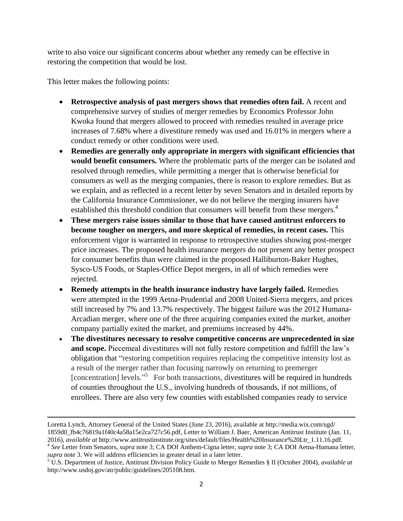write to also voice our significant concerns about whether any remedy can be effective in restoring the competition that would be lost.

This letter makes the following points:

- **Retrospective analysis of past mergers shows that remedies often fail.** A recent and comprehensive survey of studies of merger remedies by Economics Professor John Kwoka found that mergers allowed to proceed with remedies resulted in average price increases of 7.68% where a divestiture remedy was used and 16.01% in mergers where a conduct remedy or other conditions were used.
- **Remedies are generally only appropriate in mergers with significant efficiencies that would benefit consumers.** Where the problematic parts of the merger can be isolated and resolved through remedies, while permitting a merger that is otherwise beneficial for consumers as well as the merging companies, there is reason to explore remedies. But as we explain, and as reflected in a recent letter by seven Senators and in detailed reports by the California Insurance Commissioner, we do not believe the merging insurers have established this threshold condition that consumers will benefit from these mergers.<sup>4</sup>
- **These mergers raise issues similar to those that have caused antitrust enforcers to become tougher on mergers, and more skeptical of remedies, in recent cases.** This enforcement vigor is warranted in response to retrospective studies showing post-merger price increases. The proposed health insurance mergers do not present any better prospect for consumer benefits than were claimed in the proposed Halliburton-Baker Hughes, Sysco-US Foods, or Staples-Office Depot mergers, in all of which remedies were rejected.
- **Remedy attempts in the health insurance industry have largely failed.** Remedies were attempted in the 1999 Aetna-Prudential and 2008 United-Sierra mergers, and prices still increased by 7% and 13.7% respectively. The biggest failure was the 2012 Humana-Arcadian merger, where one of the three acquiring companies exited the market, another company partially exited the market, and premiums increased by 44%.
- **The divestitures necessary to resolve competitive concerns are unprecedented in size and scope.** Piecemeal divestitures will not fully restore competition and fulfill the law's obligation that "restoring competition requires replacing the competitive intensity lost as a result of the merger rather than focusing narrowly on returning to premerger [concentration] levels."<sup>5</sup> For both transactions, divestitures will be required in hundreds of counties throughout the U.S., involving hundreds of thousands, if not millions, of enrollees. There are also very few counties with established companies ready to service

Loretta Lynch, Attorney General of the United States (June 23, 2016), available at http://media.wix.com/ugd/ 1859d0\_fb4c76819a1f40c4a58a15e2ca727c56.pdf, Letter to William J. Baer, American Antitrust Institute (Jan. 11, 2016), *available at* http://www.antitrustinstitute.org/sites/default/files/Health%20Insurance%20Ltr\_1.11.16.pdf. 4 *See* Letter from Senators, *supra* note 3; CA DOI Anthem-Cigna letter, *supra* note 3; CA DOI Aetna-Humana letter,

*supra* note 3. We will address efficiencies in greater detail in a later letter.

<sup>5</sup> U.S. Department of Justice, Antitrust Division Policy Guide to Merger Remedies § II (October 2004), *available at* http://www.usdoj.gov/atr/public/guidelines/205108.htm.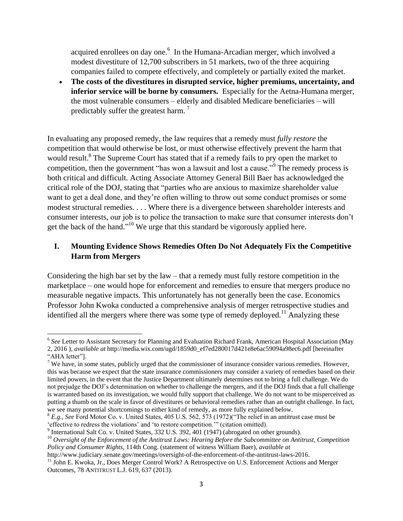acquired enrollees on day one.<sup>6</sup> In the Humana-Arcadian merger, which involved a modest divestiture of 12,700 subscribers in 51 markets, two of the three acquiring companies failed to compete effectively, and completely or partially exited the market.

 **The costs of the divestitures in disrupted service, higher premiums, uncertainty, and inferior service will be borne by consumers.** Especially for the Aetna-Humana merger, the most vulnerable consumers – elderly and disabled Medicare beneficiaries – will predictably suffer the greatest harm.<sup>7</sup>

In evaluating any proposed remedy, the law requires that a remedy must *fully restore* the competition that would otherwise be lost, or must otherwise effectively prevent the harm that would result.<sup>8</sup> The Supreme Court has stated that if a remedy fails to pry open the market to competition, then the government "has won a lawsuit and lost a cause."<sup>9</sup> The remedy process is both critical and difficult. Acting Associate Attorney General Bill Baer has acknowledged the critical role of the DOJ, stating that "parties who are anxious to maximize shareholder value want to get a deal done, and they're often willing to throw out some conduct promises or some modest structural remedies. . . . Where there is a divergence between shareholder interests and consumer interests, our job is to police the transaction to make sure that consumer interests don't get the back of the hand."<sup>10</sup> We urge that this standard be vigorously applied here.

# **I. Mounting Evidence Shows Remedies Often Do Not Adequately Fix the Competitive Harm from Mergers**

Considering the high bar set by the law – that a remedy must fully restore competition in the marketplace – one would hope for enforcement and remedies to ensure that mergers produce no measurable negative impacts. This unfortunately has not generally been the case. Economics Professor John Kwoka conducted a comprehensive analysis of merger retrospective studies and identified all the mergers where there was some type of remedy deployed.<sup>11</sup> Analyzing these

 $\overline{\phantom{a}}$ 

http://www.judiciary.senate.gov/meetings/oversight-of-the-enforcement-of-the-antitrust-laws-2016.

<sup>6</sup> *See* Letter to Assistant Secretary for Planning and Evaluation Richard Frank, American Hospital Association (May 2, 2016 ), *available at* http://media.wix.com/ugd/1859d0\_ef7ed280017d421e8e6ac59094a98ec6.pdf [hereinafter "AHA letter"].

 $<sup>7</sup>$  We have, in some states, publicly urged that the commissioner of insurance consider various remedies. However,</sup> this was because we expect that the state insurance commissioners may consider a variety of remedies based on their limited powers, in the event that the Justice Department ultimately determines not to bring a full challenge. We do not prejudge the DOJ's determination on whether to challenge the mergers, and if the DOJ finds that a full challenge is warranted based on its investigation, we would fully support that challenge. We do not want to be misperceived as putting a thumb on the scale in favor of divestitures or behavioral remedies rather than an outright challenge. In fact, we see many potential shortcomings to either kind of remedy, as more fully explained below.

<sup>8</sup> *E.g., See* Ford Motor Co. v. United States, 405 U.S. 562, 573 (1972)("The relief in an antitrust case must be 'effective to redress the violations' and 'to restore competition.'" (citation omitted).

<sup>&</sup>lt;sup>9</sup> International Salt Co. v. United States, 332 U.S. 392, 401 (1947) (abrogated on other grounds).

<sup>10</sup> *Oversight of the Enforcement of the Antitrust Laws: Hearing Before the Subcommittee on Antitrust, Competition Policy and Consumer Rights*, 114th Cong. (statement of witness William Baer), *available at* 

<sup>&</sup>lt;sup>11</sup> John E. Kwoka, Jr., Does Merger Control Work? A Retrospective on U.S. Enforcement Actions and Merger Outcomes, 78 ANTITRUST L.J. 619, 637 (2013).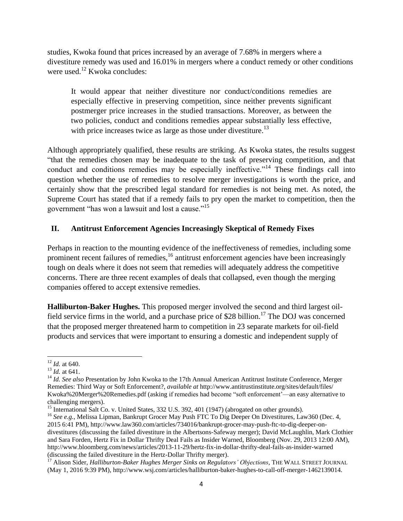studies, Kwoka found that prices increased by an average of 7.68% in mergers where a divestiture remedy was used and 16.01% in mergers where a conduct remedy or other conditions were used.<sup>12</sup> Kwoka concludes:

It would appear that neither divestiture nor conduct/conditions remedies are especially effective in preserving competition, since neither prevents significant postmerger price increases in the studied transactions. Moreover, as between the two policies, conduct and conditions remedies appear substantially less effective, with price increases twice as large as those under divestiture.<sup>13</sup>

Although appropriately qualified, these results are striking. As Kwoka states, the results suggest "that the remedies chosen may be inadequate to the task of preserving competition, and that conduct and conditions remedies may be especially ineffective."<sup>14</sup> These findings call into question whether the use of remedies to resolve merger investigations is worth the price, and certainly show that the prescribed legal standard for remedies is not being met. As noted, the Supreme Court has stated that if a remedy fails to pry open the market to competition, then the government "has won a lawsuit and lost a cause."<sup>15</sup>

# **II. Antitrust Enforcement Agencies Increasingly Skeptical of Remedy Fixes**

Perhaps in reaction to the mounting evidence of the ineffectiveness of remedies, including some prominent recent failures of remedies,<sup>16</sup> antitrust enforcement agencies have been increasingly tough on deals where it does not seem that remedies will adequately address the competitive concerns. There are three recent examples of deals that collapsed, even though the merging companies offered to accept extensive remedies.

**Halliburton-Baker Hughes.** This proposed merger involved the second and third largest oilfield service firms in the world, and a purchase price of \$28 billion.<sup>17</sup> The DOJ was concerned that the proposed merger threatened harm to competition in 23 separate markets for oil-field products and services that were important to ensuring a domestic and independent supply of

 $\overline{\phantom{a}}$ <sup>12</sup> *Id.* at 640.

<sup>13</sup> *Id.* at 641.

<sup>&</sup>lt;sup>14</sup> *Id. See also* Presentation by John Kwoka to the 17th Annual American Antitrust Institute Conference, Merger Remedies: Third Way or Soft Enforcement?, *available at* http://www.antitrustinstitute.org/sites/default/files/ Kwoka%20Merger%20Remedies.pdf (asking if remedies had become "soft enforcement'—an easy alternative to challenging mergers).

<sup>&</sup>lt;sup>15</sup> International Salt Co. v. United States, 332 U.S. 392, 401 (1947) (abrogated on other grounds).

<sup>&</sup>lt;sup>16</sup> See e.g., Melissa Lipman, Bankrupt Grocer May Push FTC To Dig Deeper On Divestitures, Law360 (Dec. 4, 2015 6:41 PM), http://www.law360.com/articles/734016/bankrupt-grocer-may-push-ftc-to-dig-deeper-ondivestitures (discussing the failed divestiture in the Albertsons-Safeway merger); David McLaughlin, Mark Clothier and Sara Forden, Hertz Fix in Dollar Thrifty Deal Fails as Insider Warned, Bloomberg (Nov. 29, 2013 12:00 AM), http://www.bloomberg.com/news/articles/2013-11-29/hertz-fix-in-dollar-thrifty-deal-fails-as-insider-warned (discussing the failed divestiture in the Hertz-Dollar Thrifty merger).

<sup>&</sup>lt;sup>17</sup> Alison Sider, *Halliburton-Baker Hughes Merger Sinks on Regulators' Objections*, THE WALL STREET JOURNAL (May 1, 2016 9:39 PM), http://www.wsj.com/articles/halliburton-baker-hughes-to-call-off-merger-1462139014.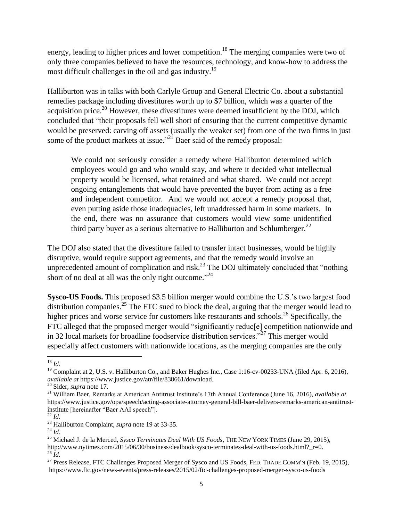energy, leading to higher prices and lower competition.<sup>18</sup> The merging companies were two of only three companies believed to have the resources, technology, and know-how to address the most difficult challenges in the oil and gas industry.<sup>19</sup>

Halliburton was in talks with both Carlyle Group and General Electric Co. about a substantial remedies package including divestitures worth up to \$7 billion, which was a quarter of the acquisition price.<sup>20</sup> However, these divestitures were deemed insufficient by the DOJ, which concluded that "their proposals fell well short of ensuring that the current competitive dynamic would be preserved: carving off assets (usually the weaker set) from one of the two firms in just some of the product markets at issue."<sup>21</sup> Baer said of the remedy proposal:

We could not seriously consider a remedy where Halliburton determined which employees would go and who would stay, and where it decided what intellectual property would be licensed, what retained and what shared. We could not accept ongoing entanglements that would have prevented the buyer from acting as a free and independent competitor. And we would not accept a remedy proposal that, even putting aside those inadequacies, left unaddressed harm in some markets. In the end, there was no assurance that customers would view some unidentified third party buyer as a serious alternative to Halliburton and Schlumberger.<sup>22</sup>

The DOJ also stated that the divestiture failed to transfer intact businesses, would be highly disruptive, would require support agreements, and that the remedy would involve an unprecedented amount of complication and risk.<sup>23</sup> The DOJ ultimately concluded that "nothing short of no deal at all was the only right outcome." $^{24}$ 

**Sysco-US Foods.** This proposed \$3.5 billion merger would combine the U.S.'s two largest food distribution companies.<sup>25</sup> The FTC sued to block the deal, arguing that the merger would lead to higher prices and worse service for customers like restaurants and schools.<sup>26</sup> Specifically, the FTC alleged that the proposed merger would "significantly reduc[e] competition nationwide and in 32 local markets for broadline foodservice distribution services."<sup>27</sup> This merger would especially affect customers with nationwide locations, as the merging companies are the only

<sup>18</sup> *Id.*

<sup>&</sup>lt;sup>19</sup> Complaint at 2, U.S. v. Halliburton Co., and Baker Hughes Inc., Case 1:16-cv-00233-UNA (filed Apr. 6, 2016), *available at* https://www.justice.gov/atr/file/838661/download.

<sup>20</sup> Sider, *supra* note 17.

<sup>21</sup> William Baer, Remarks at American Antitrust Institute's 17th Annual Conference (June 16, 2016), *available at*  https://www.justice.gov/opa/speech/acting-associate-attorney-general-bill-baer-delivers-remarks-american-antitrustinstitute [hereinafter "Baer AAI speech"].

<sup>22</sup> *Id.*

<sup>23</sup> Halliburton Complaint, *supra* note 19 at 33-35.

<sup>24</sup> *Id.*

<sup>25</sup> Michael J. de la Merced, *Sysco Terminates Deal With US Foods*, THE NEW YORK TIMES (June 29, 2015), http://www.nytimes.com/2015/06/30/business/dealbook/sysco-terminates-deal-with-us-foods.html? r=0. <sup>26</sup> *Id.*

<sup>&</sup>lt;sup>27</sup> Press Release, FTC Challenges Proposed Merger of Sysco and US Foods, FED. TRADE COMM'N (Feb. 19, 2015), https://www.ftc.gov/news-events/press-releases/2015/02/ftc-challenges-proposed-merger-sysco-us-foods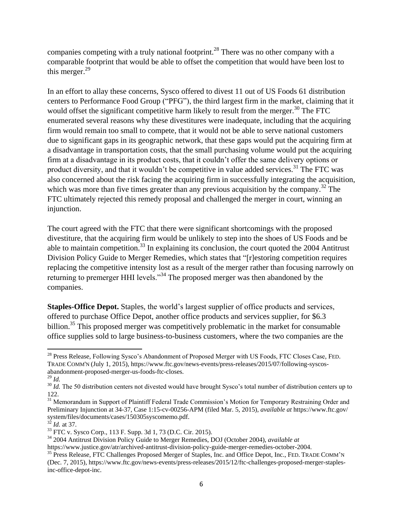companies competing with a truly national footprint.<sup>28</sup> There was no other company with a comparable footprint that would be able to offset the competition that would have been lost to this merger. $^{29}$ 

In an effort to allay these concerns, Sysco offered to divest 11 out of US Foods 61 distribution centers to Performance Food Group ("PFG"), the third largest firm in the market, claiming that it would offset the significant competitive harm likely to result from the merger.<sup>30</sup> The FTC enumerated several reasons why these divestitures were inadequate, including that the acquiring firm would remain too small to compete, that it would not be able to serve national customers due to significant gaps in its geographic network, that these gaps would put the acquiring firm at a disadvantage in transportation costs, that the small purchasing volume would put the acquiring firm at a disadvantage in its product costs, that it couldn't offer the same delivery options or product diversity, and that it wouldn't be competitive in value added services.<sup>31</sup> The FTC was also concerned about the risk facing the acquiring firm in successfully integrating the acquisition, which was more than five times greater than any previous acquisition by the company.<sup>32</sup> The FTC ultimately rejected this remedy proposal and challenged the merger in court, winning an injunction.

The court agreed with the FTC that there were significant shortcomings with the proposed divestiture, that the acquiring firm would be unlikely to step into the shoes of US Foods and be able to maintain competition.<sup>33</sup> In explaining its conclusion, the court quoted the 2004 Antitrust Division Policy Guide to Merger Remedies, which states that "[r]estoring competition requires replacing the competitive intensity lost as a result of the merger rather than focusing narrowly on returning to premerger HHI levels."<sup>34</sup> The proposed merger was then abandoned by the companies.

**Staples-Office Depot.** Staples, the world's largest supplier of office products and services, offered to purchase Office Depot, another office products and services supplier, for \$6.3 billion.<sup>35</sup> This proposed merger was competitively problematic in the market for consumable office supplies sold to large business-to-business customers, where the two companies are the

 $\overline{\phantom{a}}$ <sup>28</sup> Press Release, Following Sysco's Abandonment of Proposed Merger with US Foods, FTC Closes Case, FED. TRADE COMM'N (July 1, 2015), https://www.ftc.gov/news-events/press-releases/2015/07/following-syscosabandonment-proposed-merger-us-foods-ftc-closes.

<sup>29</sup> *Id.*

<sup>&</sup>lt;sup>30</sup> *Id.* The 50 distribution centers not divested would have brought Sysco's total number of distribution centers up to 122.

<sup>&</sup>lt;sup>31</sup> Memorandum in Support of Plaintiff Federal Trade Commission's Motion for Temporary Restraining Order and Preliminary Injunction at 34-37, Case 1:15-cv-00256-APM (filed Mar. 5, 2015), *available at* https://www.ftc.gov/ system/files/documents/cases/150305syscomemo.pdf.

*Id.* at 37.

<sup>33</sup> FTC v. Sysco Corp., 113 F. Supp. 3d 1, 73 (D.C. Cir. 2015).

<sup>34</sup> 2004 Antitrust Division Policy Guide to Merger Remedies, DOJ (October 2004), *available at* 

https://www.justice.gov/atr/archived-antitrust-division-policy-guide-merger-remedies-october-2004.

<sup>&</sup>lt;sup>35</sup> Press Release, FTC Challenges Proposed Merger of Staples, Inc. and Office Depot, Inc., FED. TRADE COMM'N (Dec. 7, 2015), https://www.ftc.gov/news-events/press-releases/2015/12/ftc-challenges-proposed-merger-staplesinc-office-depot-inc.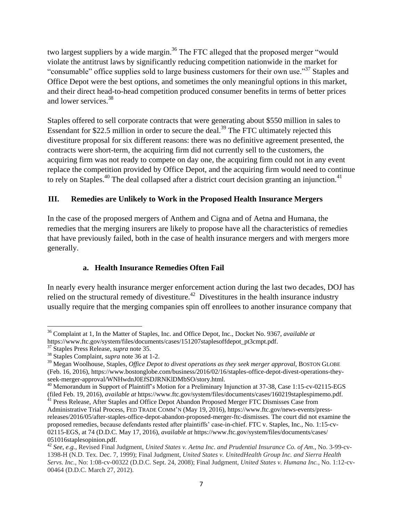two largest suppliers by a wide margin.<sup>36</sup> The FTC alleged that the proposed merger "would violate the antitrust laws by significantly reducing competition nationwide in the market for "consumable" office supplies sold to large business customers for their own use."<sup>37</sup> Staples and Office Depot were the best options, and sometimes the only meaningful options in this market, and their direct head-to-head competition produced consumer benefits in terms of better prices and lower services.<sup>38</sup>

Staples offered to sell corporate contracts that were generating about \$550 million in sales to Essendant for \$22.5 million in order to secure the deal.<sup>39</sup> The FTC ultimately rejected this divestiture proposal for six different reasons: there was no definitive agreement presented, the contracts were short-term, the acquiring firm did not currently sell to the customers, the acquiring firm was not ready to compete on day one, the acquiring firm could not in any event replace the competition provided by Office Depot, and the acquiring firm would need to continue to rely on Staples.<sup>40</sup> The deal collapsed after a district court decision granting an injunction.<sup>41</sup>

# **III. Remedies are Unlikely to Work in the Proposed Health Insurance Mergers**

In the case of the proposed mergers of Anthem and Cigna and of Aetna and Humana, the remedies that the merging insurers are likely to propose have all the characteristics of remedies that have previously failed, both in the case of health insurance mergers and with mergers more generally.

# **a. Health Insurance Remedies Often Fail**

In nearly every health insurance merger enforcement action during the last two decades, DOJ has relied on the structural remedy of divestiture.<sup>42</sup> Divestitures in the health insurance industry usually require that the merging companies spin off enrollees to another insurance company that

 $\overline{\phantom{a}}$ <sup>36</sup> Complaint at 1, In the Matter of Staples, Inc. and Office Depot, Inc., Docket No. 9367, *available at*  https://www.ftc.gov/system/files/documents/cases/151207staplesoffdepot\_pt3cmpt.pdf.

<sup>37</sup> Staples Press Release, *supra* note 35.

<sup>38</sup> Staples Complaint, *supra* note 36 at 1-2.

<sup>&</sup>lt;sup>39</sup> Megan Woolhouse, Staples, *Office Depot to divest operations as they seek merger approval*, BOSTON GLOBE (Feb. 16, 2016), https://www.bostonglobe.com/business/2016/02/16/staples-office-depot-divest-operations-theyseek-merger-approval/WNHwdnJ0EfSDJRNKlDMbSO/story.html.

<sup>40</sup> Memorandum in Support of Plaintiff's Motion for a Preliminary Injunction at 37-38, Case 1:15-cv-02115-EGS (filed Feb. 19, 2016), *available at* https://www.ftc.gov/system/files/documents/cases/160219staplespimemo.pdf.

<sup>&</sup>lt;sup>41</sup> Press Release, After Staples and Office Depot Abandon Proposed Merger FTC Dismisses Case from Administrative Trial Process, FED TRADE COMM'N (May 19, 2016), https://www.ftc.gov/news-events/pressreleases/2016/05/after-staples-office-depot-abandon-proposed-merger-ftc-dismisses. The court did not examine the proposed remedies, because defendants rested after plaintiffs' case-in-chief. FTC v. Staples, Inc., No. 1:15-cv-02115-EGS, at 74 (D.D.C. May 17, 2016), *available at* https://www.ftc.gov/system/files/documents/cases/ 051016staplesopinion.pdf.

<sup>42</sup> *See, e.g.,* Revised Final Judgment, *United States v. Aetna Inc. and Prudential Insurance Co. of Am*., No. 3-99-cv-1398-H (N.D. Tex. Dec. 7, 1999); Final Judgment, *United States v. UnitedHealth Group Inc. and Sierra Health Servs. Inc.*, No: 1:08-cv-00322 (D.D.C. Sept. 24, 2008); Final Judgment, *United States v. Humana Inc.*, No. 1:12-cv-00464 (D.D.C. March 27, 2012).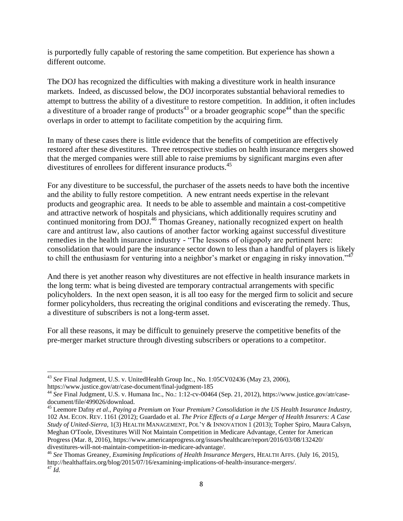is purportedly fully capable of restoring the same competition. But experience has shown a different outcome.

The DOJ has recognized the difficulties with making a divestiture work in health insurance markets. Indeed, as discussed below, the DOJ incorporates substantial behavioral remedies to attempt to buttress the ability of a divestiture to restore competition. In addition, it often includes a divestiture of a broader range of products<sup>43</sup> or a broader geographic scope<sup>44</sup> than the specific overlaps in order to attempt to facilitate competition by the acquiring firm.

In many of these cases there is little evidence that the benefits of competition are effectively restored after these divestitures. Three retrospective studies on health insurance mergers showed that the merged companies were still able to raise premiums by significant margins even after divestitures of enrollees for different insurance products.<sup>45</sup>

For any divestiture to be successful, the purchaser of the assets needs to have both the incentive and the ability to fully restore competition. A new entrant needs expertise in the relevant products and geographic area. It needs to be able to assemble and maintain a cost-competitive and attractive network of hospitals and physicians, which additionally requires scrutiny and continued monitoring from DOJ.<sup>46</sup> Thomas Greaney, nationally recognized expert on health care and antitrust law, also cautions of another factor working against successful divestiture remedies in the health insurance industry - "The lessons of oligopoly are pertinent here: consolidation that would pare the insurance sector down to less than a handful of players is likely to chill the enthusiasm for venturing into a neighbor's market or engaging in risky innovation."<sup>47</sup>

And there is yet another reason why divestitures are not effective in health insurance markets in the long term: what is being divested are temporary contractual arrangements with specific policyholders. In the next open season, it is all too easy for the merged firm to solicit and secure former policyholders, thus recreating the original conditions and eviscerating the remedy. Thus, a divestiture of subscribers is not a long-term asset.

For all these reasons, it may be difficult to genuinely preserve the competitive benefits of the pre-merger market structure through divesting subscribers or operations to a competitor.

 $\overline{\phantom{a}}$ <sup>43</sup> *See* Final Judgment, U.S. v. UnitedHealth Group Inc., No. 1:05CV02436 (May 23, 2006), https://www.justice.gov/atr/case-document/final-judgment-185

<sup>44</sup> *See* Final Judgment, U.S. v. Humana Inc., No.: 1:12-cv-00464 (Sep. 21, 2012), https://www.justice.gov/atr/casedocument/file/499026/download.

<sup>45</sup> Leemore Dafny *et al*., *Paying a Premium on Your Premium? Consolidation in the US Health Insurance Industry,*  102 AM. ECON. REV. 1161 (2012); Guardado et al. *The Price Effects of a Large Merger of Health Insurers: A Case Study of United-Sierra,* 1(3) HEALTH MANAGEMENT, POL'Y & INNOVATION 1 (2013); Topher Spiro, Maura Calsyn, Meghan O'Toole, Divestitures Will Not Maintain Competition in Medicare Advantage, Center for American Progress (Mar. 8, 2016), https://www.americanprogress.org/issues/healthcare/report/2016/03/08/132420/ divestitures-will-not-maintain-competition-in-medicare-advantage/.

<sup>46</sup> *See* Thomas Greaney, *Examining Implications of Health Insurance Mergers*, HEALTH AFFS. (July 16, 2015), http://healthaffairs.org/blog/2015/07/16/examining-implications-of-health-insurance-mergers/. <sup>47</sup> *Id.*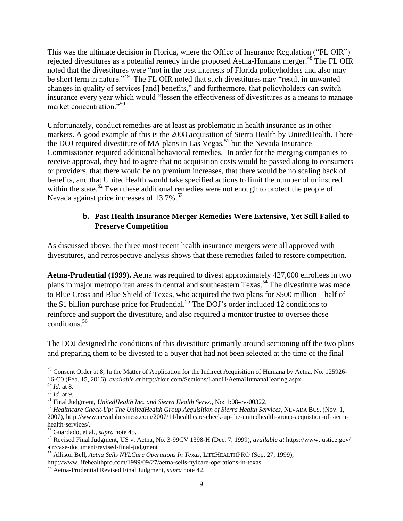This was the ultimate decision in Florida, where the Office of Insurance Regulation ("FL OIR") rejected divestitures as a potential remedy in the proposed Aetna-Humana merger.<sup>48</sup> The FL OIR noted that the divestitures were "not in the best interests of Florida policyholders and also may be short term in nature."<sup>49</sup> The FL OIR noted that such divestitures may "result in unwanted changes in quality of services [and] benefits," and furthermore, that policyholders can switch insurance every year which would "lessen the effectiveness of divestitures as a means to manage market concentration."<sup>50</sup>

Unfortunately, conduct remedies are at least as problematic in health insurance as in other markets. A good example of this is the 2008 acquisition of Sierra Health by UnitedHealth. There the DOJ required divestiture of MA plans in Las Vegas,  $51$  but the Nevada Insurance Commissioner required additional behavioral remedies. In order for the merging companies to receive approval, they had to agree that no acquisition costs would be passed along to consumers or providers, that there would be no premium increases, that there would be no scaling back of benefits, and that UnitedHealth would take specified actions to limit the number of uninsured within the state.<sup>52</sup> Even these additional remedies were not enough to protect the people of Nevada against price increases of 13.7%.<sup>53</sup>

# **b. Past Health Insurance Merger Remedies Were Extensive, Yet Still Failed to Preserve Competition**

As discussed above, the three most recent health insurance mergers were all approved with divestitures, and retrospective analysis shows that these remedies failed to restore competition.

**Aetna-Prudential (1999).** Aetna was required to divest approximately 427,000 enrollees in two plans in major metropolitan areas in central and southeastern Texas.<sup>54</sup> The divestiture was made to Blue Cross and Blue Shield of Texas, who acquired the two plans for \$500 million – half of the \$1 billion purchase price for Prudential.<sup>55</sup> The DOJ's order included 12 conditions to reinforce and support the divestiture, and also required a monitor trustee to oversee those conditions.<sup>56</sup>

The DOJ designed the conditions of this divestiture primarily around sectioning off the two plans and preparing them to be divested to a buyer that had not been selected at the time of the final

<sup>&</sup>lt;sup>48</sup> Consent Order at 8, In the Matter of Application for the Indirect Acquisition of Humana by Aetna, No. 125926-16-C0 (Feb. 15, 2016), *available at* http://floir.com/Sections/LandH/AetnaHumanaHearing.aspx.

<sup>49</sup> *Id.* at 8.

<sup>50</sup> *Id.* at 9.

<sup>51</sup> Final Judgment, *UnitedHealth Inc. and Sierra Health Servs.*, No: 1:08-cv-00322.

<sup>52</sup> *Healthcare Check-Up: The UnitedHealth Group Acquisition of Sierra Health Services*, NEVADA BUS. (Nov. 1, 2007), http://www.nevadabusiness.com/2007/11/healthcare-check-up-the-unitedhealth-group-acquistion-of-sierrahealth-services/.

<sup>53</sup> Guardado, et al., *supra* note 45.

<sup>54</sup> Revised Final Judgment, US v. Aetna, No. 3-99CV 1398-H (Dec. 7, 1999), *available at* https://www.justice.gov/ atr/case-document/revised-final-judgment

<sup>55</sup> Allison Bell, *Aetna Sells NYLCare Operations In Texas*, LIFEHEALTHPRO (Sep. 27, 1999),

http://www.lifehealthpro.com/1999/09/27/aetna-sells-nylcare-operations-in-texas

<sup>56</sup> Aetna-Prudential Revised Final Judgment, *supra* note 42.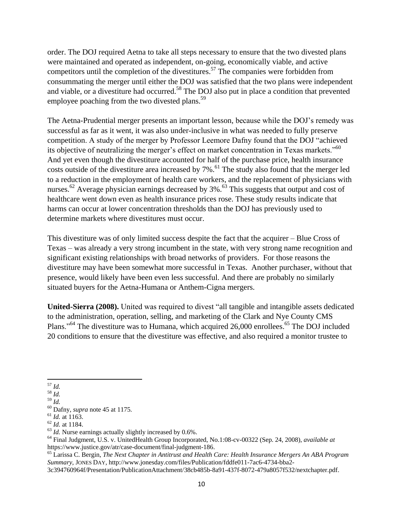order. The DOJ required Aetna to take all steps necessary to ensure that the two divested plans were maintained and operated as independent, on-going, economically viable, and active competitors until the completion of the divestitures.<sup>57</sup> The companies were forbidden from consummating the merger until either the DOJ was satisfied that the two plans were independent and viable, or a divestiture had occurred.<sup>58</sup> The DOJ also put in place a condition that prevented employee poaching from the two divested plans.<sup>59</sup>

The Aetna-Prudential merger presents an important lesson, because while the DOJ's remedy was successful as far as it went, it was also under-inclusive in what was needed to fully preserve competition. A study of the merger by Professor Leemore Dafny found that the DOJ "achieved its objective of neutralizing the merger's effect on market concentration in Texas markets."<sup>60</sup> And yet even though the divestiture accounted for half of the purchase price, health insurance costs outside of the divestiture area increased by 7%.<sup>61</sup> The study also found that the merger led to a reduction in the employment of health care workers, and the replacement of physicians with nurses.<sup>62</sup> Average physician earnings decreased by  $3\%$ .<sup>63</sup> This suggests that output and cost of healthcare went down even as health insurance prices rose. These study results indicate that harms can occur at lower concentration thresholds than the DOJ has previously used to determine markets where divestitures must occur.

This divestiture was of only limited success despite the fact that the acquirer – Blue Cross of Texas – was already a very strong incumbent in the state, with very strong name recognition and significant existing relationships with broad networks of providers. For those reasons the divestiture may have been somewhat more successful in Texas. Another purchaser, without that presence, would likely have been even less successful. And there are probably no similarly situated buyers for the Aetna-Humana or Anthem-Cigna mergers.

**United-Sierra (2008).** United was required to divest "all tangible and intangible assets dedicated to the administration, operation, selling, and marketing of the Clark and Nye County CMS Plans."<sup>64</sup> The divestiture was to Humana, which acquired 26,000 enrollees.<sup>65</sup> The DOJ included 20 conditions to ensure that the divestiture was effective, and also required a monitor trustee to

 $\overline{\phantom{a}}$ <sup>57</sup> *Id.*

<sup>58</sup> *Id.*

<sup>59</sup> *Id.*

<sup>60</sup> Dafny, *supra* note 45 at 1175.

<sup>61</sup> *Id.* at 1163.

<sup>62</sup> *Id.* at 1184.

<sup>&</sup>lt;sup>63</sup> *Id.* Nurse earnings actually slightly increased by 0.6%.

<sup>64</sup> Final Judgment, U.S. v. UnitedHealth Group Incorporated, No.1:08-cv-00322 (Sep. 24, 2008), *available at*  https://www.justice.gov/atr/case-document/final-judgment-186.

<sup>65</sup> Larissa C. Bergin, *The Next Chapter in Antitrust and Health Care: Health Insurance Mergers An ABA Program Summary*, JONES DAY, http://www.jonesday.com/files/Publication/fddfe011-7ac6-4734-bba2-

<sup>3</sup>c394760964f/Presentation/PublicationAttachment/38cb485b-8a91-437f-8072-479a8057f532/nextchapter.pdf.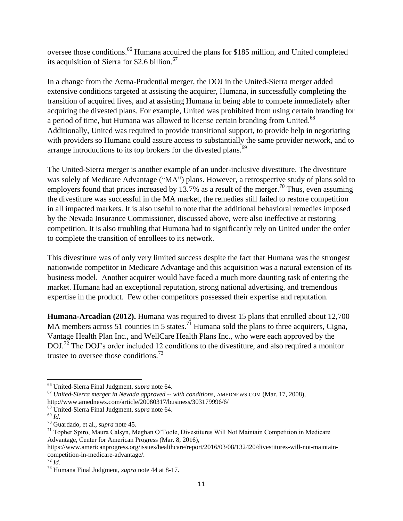oversee those conditions.<sup>66</sup> Humana acquired the plans for \$185 million, and United completed its acquisition of Sierra for  $$2.6$  billion.<sup>67</sup>

In a change from the Aetna-Prudential merger, the DOJ in the United-Sierra merger added extensive conditions targeted at assisting the acquirer, Humana, in successfully completing the transition of acquired lives, and at assisting Humana in being able to compete immediately after acquiring the divested plans. For example, United was prohibited from using certain branding for a period of time, but Humana was allowed to license certain branding from United.<sup>68</sup> Additionally, United was required to provide transitional support, to provide help in negotiating with providers so Humana could assure access to substantially the same provider network, and to arrange introductions to its top brokers for the divested plans.<sup>69</sup>

The United-Sierra merger is another example of an under-inclusive divestiture. The divestiture was solely of Medicare Advantage ("MA") plans. However, a retrospective study of plans sold to employers found that prices increased by 13.7% as a result of the merger.<sup>70</sup> Thus, even assuming the divestiture was successful in the MA market, the remedies still failed to restore competition in all impacted markets. It is also useful to note that the additional behavioral remedies imposed by the Nevada Insurance Commissioner, discussed above, were also ineffective at restoring competition. It is also troubling that Humana had to significantly rely on United under the order to complete the transition of enrollees to its network.

This divestiture was of only very limited success despite the fact that Humana was the strongest nationwide competitor in Medicare Advantage and this acquisition was a natural extension of its business model. Another acquirer would have faced a much more daunting task of entering the market. Humana had an exceptional reputation, strong national advertising, and tremendous expertise in the product. Few other competitors possessed their expertise and reputation.

**Humana-Arcadian (2012).** Humana was required to divest 15 plans that enrolled about 12,700 MA members across 51 counties in 5 states.<sup>71</sup> Humana sold the plans to three acquirers, Cigna, Vantage Health Plan Inc., and WellCare Health Plans Inc., who were each approved by the DOJ.<sup>72</sup> The DOJ's order included 12 conditions to the divestiture, and also required a monitor trustee to oversee those conditions.<sup>73</sup>

<sup>66</sup> United-Sierra Final Judgment, *supra* note 64.

<sup>67</sup> *United-Sierra merger in Nevada approved -- with conditions*, AMEDNEWS.COM (Mar. 17, 2008), http://www.amednews.com/article/20080317/business/303179996/6/

<sup>68</sup> United-Sierra Final Judgment, *supra* note 64.

<sup>69</sup> *Id.*

<sup>70</sup> Guardado, et al., *supra* note 45.

<sup>71</sup> Topher Spiro, Maura Calsyn, Meghan O'Toole, Divestitures Will Not Maintain Competition in Medicare Advantage, Center for American Progress (Mar. 8, 2016),

https://www.americanprogress.org/issues/healthcare/report/2016/03/08/132420/divestitures-will-not-maintaincompetition-in-medicare-advantage/.

<sup>72</sup> *Id.*

<sup>73</sup> Humana Final Judgment, *supra* note 44 at 8-17.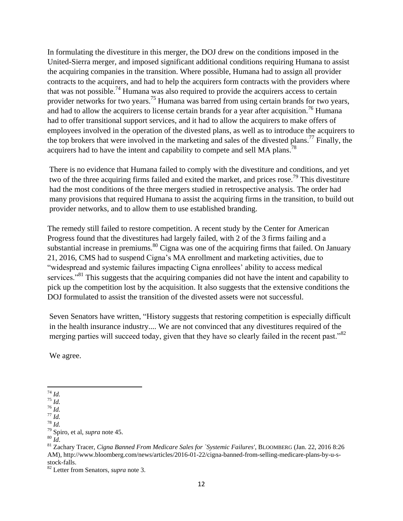In formulating the divestiture in this merger, the DOJ drew on the conditions imposed in the United-Sierra merger, and imposed significant additional conditions requiring Humana to assist the acquiring companies in the transition. Where possible, Humana had to assign all provider contracts to the acquirers, and had to help the acquirers form contracts with the providers where that was not possible.<sup>74</sup> Humana was also required to provide the acquirers access to certain provider networks for two years.<sup>75</sup> Humana was barred from using certain brands for two years, and had to allow the acquirers to license certain brands for a year after acquisition.<sup>76</sup> Humana had to offer transitional support services, and it had to allow the acquirers to make offers of employees involved in the operation of the divested plans, as well as to introduce the acquirers to the top brokers that were involved in the marketing and sales of the divested plans.<sup>77</sup> Finally, the acquirers had to have the intent and capability to compete and sell MA plans.<sup>78</sup>

There is no evidence that Humana failed to comply with the divestiture and conditions, and yet two of the three acquiring firms failed and exited the market, and prices rose.<sup>79</sup> This divestiture had the most conditions of the three mergers studied in retrospective analysis. The order had many provisions that required Humana to assist the acquiring firms in the transition, to build out provider networks, and to allow them to use established branding.

The remedy still failed to restore competition. A recent study by the Center for American Progress found that the divestitures had largely failed, with 2 of the 3 firms failing and a substantial increase in premiums.<sup>80</sup> Cigna was one of the acquiring firms that failed. On January 21, 2016, CMS had to suspend Cigna's MA enrollment and marketing activities, due to "widespread and systemic failures impacting Cigna enrollees' ability to access medical services."<sup>81</sup> This suggests that the acquiring companies did not have the intent and capability to pick up the competition lost by the acquisition. It also suggests that the extensive conditions the DOJ formulated to assist the transition of the divested assets were not successful.

Seven Senators have written, "History suggests that restoring competition is especially difficult in the health insurance industry.... We are not convinced that any divestitures required of the merging parties will succeed today, given that they have so clearly failed in the recent past."<sup>82</sup>

We agree.

 $\overline{a}$ <sup>74</sup> *Id.*

<sup>75</sup> *Id.*

 $^{76}$  *Id.* 

<sup>77</sup> *Id.* <sup>78</sup> *Id.*

<sup>79</sup> Spiro, et al, *supra* note 45.

<sup>80</sup> *Id*.

<sup>81</sup> Zachary Tracer, *Cigna Banned From Medicare Sales for `Systemic Failures'*, BLOOMBERG (Jan. 22, 2016 8:26 AM), http://www.bloomberg.com/news/articles/2016-01-22/cigna-banned-from-selling-medicare-plans-by-u-sstock-falls.

<sup>82</sup> Letter from Senators, *supra* note 3.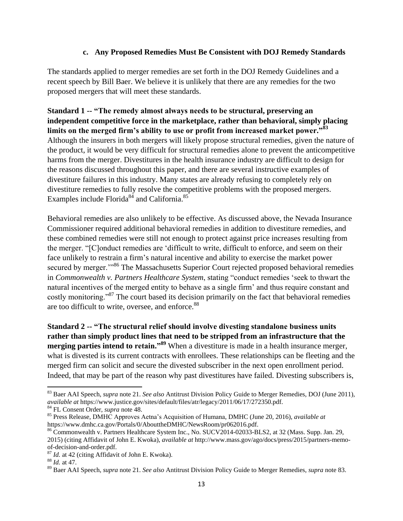### **c. Any Proposed Remedies Must Be Consistent with DOJ Remedy Standards**

The standards applied to merger remedies are set forth in the DOJ Remedy Guidelines and a recent speech by Bill Baer. We believe it is unlikely that there are any remedies for the two proposed mergers that will meet these standards.

**Standard 1 -- "The remedy almost always needs to be structural, preserving an independent competitive force in the marketplace, rather than behavioral, simply placing limits on the merged firm's ability to use or profit from increased market power."<sup>83</sup>** Although the insurers in both mergers will likely propose structural remedies, given the nature of the product, it would be very difficult for structural remedies alone to prevent the anticompetitive harms from the merger. Divestitures in the health insurance industry are difficult to design for the reasons discussed throughout this paper, and there are several instructive examples of divestiture failures in this industry. Many states are already refusing to completely rely on divestiture remedies to fully resolve the competitive problems with the proposed mergers. Examples include Florida<sup>84</sup> and California.<sup>85</sup>

Behavioral remedies are also unlikely to be effective. As discussed above, the Nevada Insurance Commissioner required additional behavioral remedies in addition to divestiture remedies, and these combined remedies were still not enough to protect against price increases resulting from the merger. "[C]onduct remedies are 'difficult to write, difficult to enforce, and seem on their face unlikely to restrain a firm's natural incentive and ability to exercise the market power secured by merger."<sup>86</sup> The Massachusetts Superior Court rejected proposed behavioral remedies in *Commonwealth v. Partners Healthcare System*, stating "conduct remedies 'seek to thwart the natural incentives of the merged entity to behave as a single firm' and thus require constant and costly monitoring."<sup>87</sup> The court based its decision primarily on the fact that behavioral remedies are too difficult to write, oversee, and enforce.<sup>88</sup>

**Standard 2 -- "The structural relief should involve divesting standalone business units rather than simply product lines that need to be stripped from an infrastructure that the merging parties intend to retain."<sup>89</sup>** When a divestiture is made in a health insurance merger, what is divested is its current contracts with enrollees. These relationships can be fleeting and the merged firm can solicit and secure the divested subscriber in the next open enrollment period. Indeed, that may be part of the reason why past divestitures have failed. Divesting subscribers is,

<sup>83</sup> Baer AAI Speech, *supra* note 21. *See also* Antitrust Division Policy Guide to Merger Remedies, DOJ (June 2011), *available at* https://www.justice.gov/sites/default/files/atr/legacy/2011/06/17/272350.pdf.

<sup>84</sup> FL Consent Order, *supra* note 48.

<sup>85</sup> Press Release, DMHC Approves Aetna's Acquisition of Humana, DMHC (June 20, 2016), *available at* https://www.dmhc.ca.gov/Portals/0/AbouttheDMHC/NewsRoom/pr062016.pdf.

<sup>86</sup> Commonwealth v. Partners Healthcare System Inc., No. SUCV2014-02033-BLS2, at 32 (Mass. Supp. Jan. 29, 2015) (citing Affidavit of John E. Kwoka), *available at* http://www.mass.gov/ago/docs/press/2015/partners-memoof-decision-and-order.pdf.

<sup>87</sup> *Id.* at 42 (citing Affidavit of John E. Kwoka).

<sup>88</sup> *Id.* at 47.

<sup>89</sup> Baer AAI Speech, *supra* note 21. *See also* Antitrust Division Policy Guide to Merger Remedies, *supra* note 83.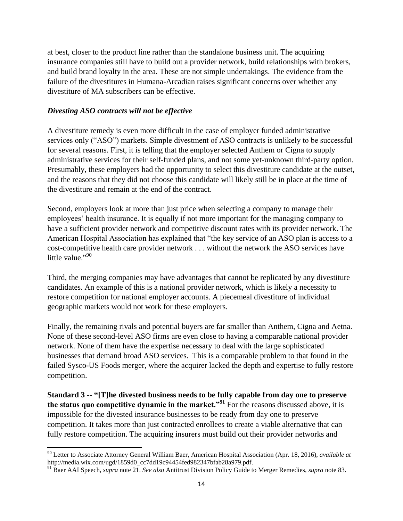at best, closer to the product line rather than the standalone business unit. The acquiring insurance companies still have to build out a provider network, build relationships with brokers, and build brand loyalty in the area. These are not simple undertakings. The evidence from the failure of the divestitures in Humana-Arcadian raises significant concerns over whether any divestiture of MA subscribers can be effective.

#### *Divesting ASO contracts will not be effective*

 $\overline{\phantom{a}}$ 

A divestiture remedy is even more difficult in the case of employer funded administrative services only ("ASO") markets. Simple divestment of ASO contracts is unlikely to be successful for several reasons. First, it is telling that the employer selected Anthem or Cigna to supply administrative services for their self-funded plans, and not some yet-unknown third-party option. Presumably, these employers had the opportunity to select this divestiture candidate at the outset, and the reasons that they did not choose this candidate will likely still be in place at the time of the divestiture and remain at the end of the contract.

Second, employers look at more than just price when selecting a company to manage their employees' health insurance. It is equally if not more important for the managing company to have a sufficient provider network and competitive discount rates with its provider network. The American Hospital Association has explained that "the key service of an ASO plan is access to a cost-competitive health care provider network . . . without the network the ASO services have little value."<sup>90</sup>

Third, the merging companies may have advantages that cannot be replicated by any divestiture candidates. An example of this is a national provider network, which is likely a necessity to restore competition for national employer accounts. A piecemeal divestiture of individual geographic markets would not work for these employers.

Finally, the remaining rivals and potential buyers are far smaller than Anthem, Cigna and Aetna. None of these second-level ASO firms are even close to having a comparable national provider network. None of them have the expertise necessary to deal with the large sophisticated businesses that demand broad ASO services. This is a comparable problem to that found in the failed Sysco-US Foods merger, where the acquirer lacked the depth and expertise to fully restore competition.

**Standard 3 -- "[T]he divested business needs to be fully capable from day one to preserve the status quo competitive dynamic in the market."<sup>91</sup>** For the reasons discussed above, it is impossible for the divested insurance businesses to be ready from day one to preserve competition. It takes more than just contracted enrollees to create a viable alternative that can fully restore competition. The acquiring insurers must build out their provider networks and

<sup>90</sup> Letter to Associate Attorney General William Baer, American Hospital Association (Apr. 18, 2016), *available at*  http://media.wix.com/ugd/1859d0\_cc7dd19c94454fed982347bfab28a979.pdf.

<sup>91</sup> Baer AAI Speech, *supra* note 21. *See also* Antitrust Division Policy Guide to Merger Remedies, *supra* note 83.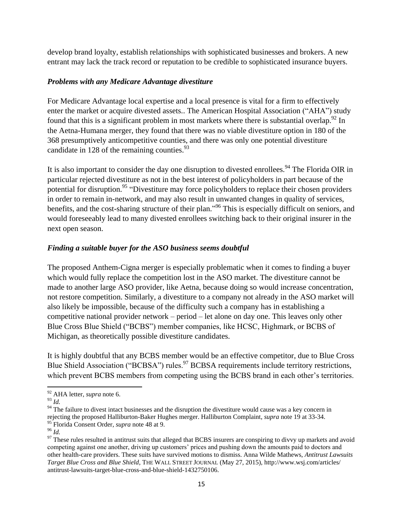develop brand loyalty, establish relationships with sophisticated businesses and brokers. A new entrant may lack the track record or reputation to be credible to sophisticated insurance buyers.

### *Problems with any Medicare Advantage divestiture*

For Medicare Advantage local expertise and a local presence is vital for a firm to effectively enter the market or acquire divested assets.. The American Hospital Association ("AHA") study found that this is a significant problem in most markets where there is substantial overlap.<sup>92</sup> In the Aetna-Humana merger, they found that there was no viable divestiture option in 180 of the 368 presumptively anticompetitive counties, and there was only one potential divestiture candidate in 128 of the remaining counties. $^{93}$ 

It is also important to consider the day one disruption to divested enrollees.<sup>94</sup> The Florida OIR in particular rejected divestiture as not in the best interest of policyholders in part because of the potential for disruption.<sup>95</sup> "Divestiture may force policyholders to replace their chosen providers in order to remain in-network, and may also result in unwanted changes in quality of services, benefits, and the cost-sharing structure of their plan."<sup>96</sup> This is especially difficult on seniors, and would foreseeably lead to many divested enrollees switching back to their original insurer in the next open season.

# *Finding a suitable buyer for the ASO business seems doubtful*

The proposed Anthem-Cigna merger is especially problematic when it comes to finding a buyer which would fully replace the competition lost in the ASO market. The divestiture cannot be made to another large ASO provider, like Aetna, because doing so would increase concentration, not restore competition. Similarly, a divestiture to a company not already in the ASO market will also likely be impossible, because of the difficulty such a company has in establishing a competitive national provider network – period – let alone on day one. This leaves only other Blue Cross Blue Shield ("BCBS") member companies, like HCSC, Highmark, or BCBS of Michigan, as theoretically possible divestiture candidates.

It is highly doubtful that any BCBS member would be an effective competitor, due to Blue Cross Blue Shield Association ("BCBSA") rules.<sup>97</sup> BCBSA requirements include territory restrictions, which prevent BCBS members from competing using the BCBS brand in each other's territories.

<sup>92</sup> AHA letter, *supra* note 6.

<sup>93</sup> *Id.*

<sup>&</sup>lt;sup>94</sup> The failure to divest intact businesses and the disruption the divestiture would cause was a key concern in rejecting the proposed Halliburton-Baker Hughes merger. Halliburton Complaint, *supra* note 19 at 33-34. <sup>95</sup> Florida Consent Order, *supra* note 48 at 9.

<sup>96</sup> *Id.*

 $97$  These rules resulted in antitrust suits that alleged that BCBS insurers are conspiring to divvy up markets and avoid competing against one another, driving up customers' prices and pushing down the amounts paid to doctors and other health-care providers. These suits have survived motions to dismiss. Anna Wilde Mathews, *Antitrust Lawsuits Target Blue Cross and Blue Shield*, THE WALL STREET JOURNAL (May 27, 2015), http://www.wsj.com/articles/ antitrust-lawsuits-target-blue-cross-and-blue-shield-1432750106.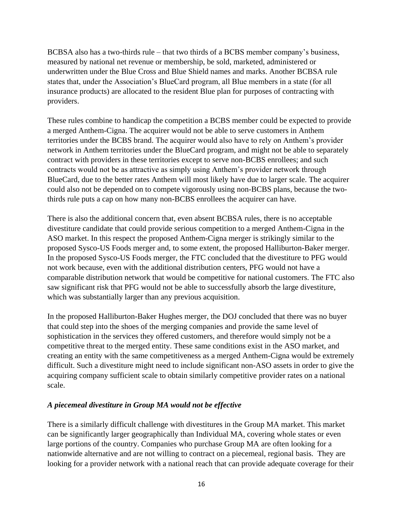BCBSA also has a two-thirds rule – that two thirds of a BCBS member company's business, measured by national net revenue or membership, be sold, marketed, administered or underwritten under the Blue Cross and Blue Shield names and marks. Another BCBSA rule states that, under the Association's BlueCard program, all Blue members in a state (for all insurance products) are allocated to the resident Blue plan for purposes of contracting with providers.

These rules combine to handicap the competition a BCBS member could be expected to provide a merged Anthem-Cigna. The acquirer would not be able to serve customers in Anthem territories under the BCBS brand. The acquirer would also have to rely on Anthem's provider network in Anthem territories under the BlueCard program, and might not be able to separately contract with providers in these territories except to serve non-BCBS enrollees; and such contracts would not be as attractive as simply using Anthem's provider network through BlueCard, due to the better rates Anthem will most likely have due to larger scale. The acquirer could also not be depended on to compete vigorously using non-BCBS plans, because the twothirds rule puts a cap on how many non-BCBS enrollees the acquirer can have.

There is also the additional concern that, even absent BCBSA rules, there is no acceptable divestiture candidate that could provide serious competition to a merged Anthem-Cigna in the ASO market. In this respect the proposed Anthem-Cigna merger is strikingly similar to the proposed Sysco-US Foods merger and, to some extent, the proposed Halliburton-Baker merger. In the proposed Sysco-US Foods merger, the FTC concluded that the divestiture to PFG would not work because, even with the additional distribution centers, PFG would not have a comparable distribution network that would be competitive for national customers. The FTC also saw significant risk that PFG would not be able to successfully absorb the large divestiture, which was substantially larger than any previous acquisition.

In the proposed Halliburton-Baker Hughes merger, the DOJ concluded that there was no buyer that could step into the shoes of the merging companies and provide the same level of sophistication in the services they offered customers, and therefore would simply not be a competitive threat to the merged entity. These same conditions exist in the ASO market, and creating an entity with the same competitiveness as a merged Anthem-Cigna would be extremely difficult. Such a divestiture might need to include significant non-ASO assets in order to give the acquiring company sufficient scale to obtain similarly competitive provider rates on a national scale.

#### *A piecemeal divestiture in Group MA would not be effective*

There is a similarly difficult challenge with divestitures in the Group MA market. This market can be significantly larger geographically than Individual MA, covering whole states or even large portions of the country. Companies who purchase Group MA are often looking for a nationwide alternative and are not willing to contract on a piecemeal, regional basis. They are looking for a provider network with a national reach that can provide adequate coverage for their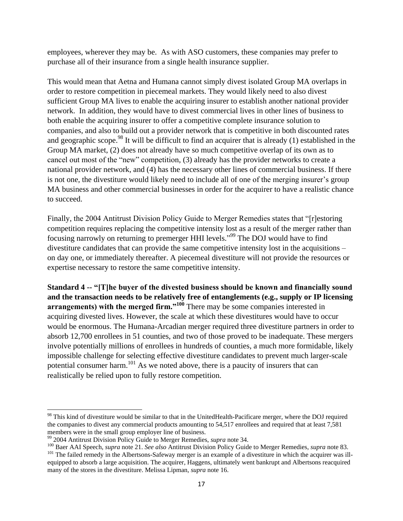employees, wherever they may be. As with ASO customers, these companies may prefer to purchase all of their insurance from a single health insurance supplier.

This would mean that Aetna and Humana cannot simply divest isolated Group MA overlaps in order to restore competition in piecemeal markets. They would likely need to also divest sufficient Group MA lives to enable the acquiring insurer to establish another national provider network. In addition, they would have to divest commercial lives in other lines of business to both enable the acquiring insurer to offer a competitive complete insurance solution to companies, and also to build out a provider network that is competitive in both discounted rates and geographic scope.<sup>98</sup> It will be difficult to find an acquirer that is already  $(1)$  established in the Group MA market, (2) does not already have so much competitive overlap of its own as to cancel out most of the "new" competition, (3) already has the provider networks to create a national provider network, and (4) has the necessary other lines of commercial business. If there is not one, the divestiture would likely need to include all of one of the merging insurer's group MA business and other commercial businesses in order for the acquirer to have a realistic chance to succeed.

Finally, the 2004 Antitrust Division Policy Guide to Merger Remedies states that "[r]estoring competition requires replacing the competitive intensity lost as a result of the merger rather than focusing narrowly on returning to premerger HHI levels."<sup>99</sup> The DOJ would have to find divestiture candidates that can provide the same competitive intensity lost in the acquisitions – on day one, or immediately thereafter. A piecemeal divestiture will not provide the resources or expertise necessary to restore the same competitive intensity.

**Standard 4 -- "[T]he buyer of the divested business should be known and financially sound and the transaction needs to be relatively free of entanglements (e.g., supply or IP licensing arrangements) with the merged firm."<sup>100</sup> There may be some companies interested in** acquiring divested lives. However, the scale at which these divestitures would have to occur would be enormous. The Humana-Arcadian merger required three divestiture partners in order to absorb 12,700 enrollees in 51 counties, and two of those proved to be inadequate. These mergers involve potentially millions of enrollees in hundreds of counties, a much more formidable, likely impossible challenge for selecting effective divestiture candidates to prevent much larger-scale potential consumer harm.<sup>101</sup> As we noted above, there is a paucity of insurers that can realistically be relied upon to fully restore competition.

<sup>&</sup>lt;sup>98</sup> This kind of divestiture would be similar to that in the UnitedHealth-Pacificare merger, where the DOJ required the companies to divest any commercial products amounting to 54,517 enrollees and required that at least 7,581 members were in the small group employer line of business.

<sup>99</sup> 2004 Antitrust Division Policy Guide to Merger Remedies, *supra* note 34.

<sup>100</sup> Baer AAI Speech, *supra* note 21. *See also* Antitrust Division Policy Guide to Merger Remedies, *supra* note 83.

<sup>&</sup>lt;sup>101</sup> The failed remedy in the Albertsons-Safeway merger is an example of a divestiture in which the acquirer was illequipped to absorb a large acquisition. The acquirer, Haggens, ultimately went bankrupt and Albertsons reacquired many of the stores in the divestiture. Melissa Lipman, *supra* note 16.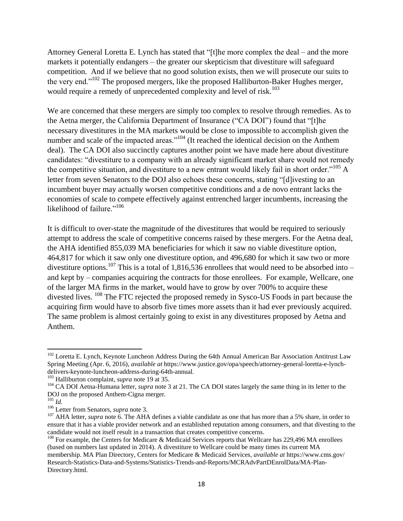Attorney General Loretta E. Lynch has stated that "[t]he more complex the deal – and the more markets it potentially endangers – the greater our skepticism that divestiture will safeguard competition. And if we believe that no good solution exists, then we will prosecute our suits to the very end.<sup>"102</sup> The proposed mergers, like the proposed Halliburton-Baker Hughes merger, would require a remedy of unprecedented complexity and level of risk.<sup>103</sup>

We are concerned that these mergers are simply too complex to resolve through remedies. As to the Aetna merger, the California Department of Insurance ("CA DOI") found that "[t]he necessary divestitures in the MA markets would be close to impossible to accomplish given the number and scale of the impacted areas."<sup>104</sup> (It reached the identical decision on the Anthem deal). The CA DOI also succinctly captures another point we have made here about divestiture candidates: "divestiture to a company with an already significant market share would not remedy the competitive situation, and divestiture to a new entrant would likely fail in short order."<sup>105</sup> A letter from seven Senators to the DOJ also echoes these concerns, stating "[d]ivesting to an incumbent buyer may actually worsen competitive conditions and a de novo entrant lacks the economies of scale to compete effectively against entrenched larger incumbents, increasing the likelihood of failure."<sup>106</sup>

It is difficult to over-state the magnitude of the divestitures that would be required to seriously attempt to address the scale of competitive concerns raised by these mergers. For the Aetna deal, the AHA identified 855,039 MA beneficiaries for which it saw no viable divestiture option, 464,817 for which it saw only one divestiture option, and 496,680 for which it saw two or more divestiture options.<sup>107</sup> This is a total of 1,816,536 enrollees that would need to be absorbed into – and kept by – companies acquiring the contracts for those enrollees. For example, Wellcare, one of the larger MA firms in the market, would have to grow by over 700% to acquire these divested lives. <sup>108</sup> The FTC rejected the proposed remedy in Sysco-US Foods in part because the acquiring firm would have to absorb five times more assets than it had ever previously acquired. The same problem is almost certainly going to exist in any divestitures proposed by Aetna and Anthem.

<sup>&</sup>lt;sup>102</sup> Loretta E. Lynch, Keynote Luncheon Address During the 64th Annual American Bar Association Antitrust Law Spring Meeting (Apr. 6, 2016), *available at* https://www.justice.gov/opa/speech/attorney-general-loretta-e-lynchdelivers-keynote-luncheon-address-during-64th-annual.

<sup>103</sup> Halliburton complaint, *supra* note 19 at 35.

<sup>&</sup>lt;sup>104</sup> CA DOI Aetna-Humana letter, *supra* note 3 at 21. The CA DOI states largely the same thing in its letter to the DOJ on the proposed Anthem-Cigna merger.

<sup>105</sup> *Id.*

<sup>106</sup> Letter from Senators, *supra* note 3.

<sup>&</sup>lt;sup>107</sup> AHA letter, *supra* note 6. The AHA defines a viable candidate as one that has more than a 5% share, in order to ensure that it has a viable provider network and an established reputation among consumers, and that divesting to the candidate would not itself result in a transaction that creates competitive concerns.

<sup>&</sup>lt;sup>108</sup> For example, the Centers for Medicare & Medicaid Services reports that Wellcare has 229,496 MA enrollees (based on numbers last updated in 2014). A divestiture to Wellcare could be many times its current MA membership. MA Plan Directory, Centers for Medicare & Medicaid Services, *available at* https://www.cms.gov/ Research-Statistics-Data-and-Systems/Statistics-Trends-and-Reports/MCRAdvPartDEnrolData/MA-Plan-Directory.html.